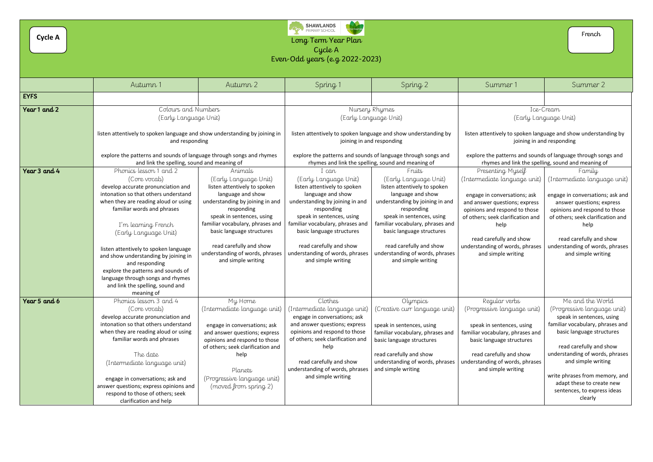

## Cycle A

| <b>Cycle A</b> | <b>SHAWLANDS</b><br>PRIMARY SCHOOL<br>.<br>Kata<br>French<br>Long Term Year Plan<br>Cycle A<br>Even-Odd years (e.g. 2022-2023)                                                                                                                                                                                                                                                                                                                                             |                                                                                                                                                                                                                                                                                                                          |                                                                                                                                                                                                                                                                                                                        |                                                                                                                                                                                                                                                                                                                         |                                                                                                                                                                                                                                                                                      |                                                                                                                                                                                                                                                                                                                                            |  |
|----------------|----------------------------------------------------------------------------------------------------------------------------------------------------------------------------------------------------------------------------------------------------------------------------------------------------------------------------------------------------------------------------------------------------------------------------------------------------------------------------|--------------------------------------------------------------------------------------------------------------------------------------------------------------------------------------------------------------------------------------------------------------------------------------------------------------------------|------------------------------------------------------------------------------------------------------------------------------------------------------------------------------------------------------------------------------------------------------------------------------------------------------------------------|-------------------------------------------------------------------------------------------------------------------------------------------------------------------------------------------------------------------------------------------------------------------------------------------------------------------------|--------------------------------------------------------------------------------------------------------------------------------------------------------------------------------------------------------------------------------------------------------------------------------------|--------------------------------------------------------------------------------------------------------------------------------------------------------------------------------------------------------------------------------------------------------------------------------------------------------------------------------------------|--|
|                |                                                                                                                                                                                                                                                                                                                                                                                                                                                                            |                                                                                                                                                                                                                                                                                                                          |                                                                                                                                                                                                                                                                                                                        |                                                                                                                                                                                                                                                                                                                         |                                                                                                                                                                                                                                                                                      |                                                                                                                                                                                                                                                                                                                                            |  |
|                | Autumn 1                                                                                                                                                                                                                                                                                                                                                                                                                                                                   | Autumn 2                                                                                                                                                                                                                                                                                                                 | Spring 1                                                                                                                                                                                                                                                                                                               | Spring 2                                                                                                                                                                                                                                                                                                                | Summer 1                                                                                                                                                                                                                                                                             | Summer 2                                                                                                                                                                                                                                                                                                                                   |  |
| <b>EYFS</b>    |                                                                                                                                                                                                                                                                                                                                                                                                                                                                            |                                                                                                                                                                                                                                                                                                                          |                                                                                                                                                                                                                                                                                                                        |                                                                                                                                                                                                                                                                                                                         |                                                                                                                                                                                                                                                                                      |                                                                                                                                                                                                                                                                                                                                            |  |
| Year 1 and 2   | Colours and Numbers<br>(Early Language Unit)                                                                                                                                                                                                                                                                                                                                                                                                                               |                                                                                                                                                                                                                                                                                                                          | Nursery Rhymes<br>(Early Language Unit)                                                                                                                                                                                                                                                                                |                                                                                                                                                                                                                                                                                                                         | Ice-Cream<br>(Early Language Unit)                                                                                                                                                                                                                                                   |                                                                                                                                                                                                                                                                                                                                            |  |
|                | listen attentively to spoken language and show understanding by joining in<br>and responding                                                                                                                                                                                                                                                                                                                                                                               |                                                                                                                                                                                                                                                                                                                          | listen attentively to spoken language and show understanding by<br>joining in and responding                                                                                                                                                                                                                           |                                                                                                                                                                                                                                                                                                                         | listen attentively to spoken language and show understanding by<br>joining in and responding                                                                                                                                                                                         |                                                                                                                                                                                                                                                                                                                                            |  |
|                | explore the patterns and sounds of language through songs and rhymes<br>and link the spelling, sound and meaning of                                                                                                                                                                                                                                                                                                                                                        |                                                                                                                                                                                                                                                                                                                          | explore the patterns and sounds of language through songs and<br>rhymes and link the spelling, sound and meaning of                                                                                                                                                                                                    |                                                                                                                                                                                                                                                                                                                         | explore the patterns and sounds of language through songs and<br>rhymes and link the spelling, sound and meaning of                                                                                                                                                                  |                                                                                                                                                                                                                                                                                                                                            |  |
| Year 3 and 4   | Phonics lesson 1 and 2<br>(Core vocab)<br>develop accurate pronunciation and<br>intonation so that others understand<br>when they are reading aloud or using<br>familiar words and phrases<br>I'm learning French<br>(Early Language Unit)<br>listen attentively to spoken language<br>and show understanding by joining in<br>and responding<br>explore the patterns and sounds of<br>language through songs and rhymes<br>and link the spelling, sound and<br>meaning of | Animals<br>(Early Language Unit)<br>listen attentively to spoken<br>language and show<br>understanding by joining in and<br>responding<br>speak in sentences, using<br>familiar vocabulary, phrases and<br>basic language structures<br>read carefully and show<br>understanding of words, phrases<br>and simple writing | I can<br>(Early Language Unit)<br>listen attentively to spoken<br>language and show<br>understanding by joining in and<br>responding<br>speak in sentences, using<br>familiar vocabulary, phrases and<br>basic language structures<br>read carefully and show<br>understanding of words, phrases<br>and simple writing | Fruits<br>(Early Language Unit)<br>listen attentively to spoken<br>language and show<br>understanding by joining in and<br>responding<br>speak in sentences, using<br>familiar vocabulary, phrases and<br>basic language structures<br>read carefully and show<br>understanding of words, phrases<br>and simple writing | Presenting Myself<br>(Intermediate language unit)<br>engage in conversations; ask<br>and answer questions; express<br>opinions and respond to those<br>of others; seek clarification and<br>help<br>read carefully and show<br>understanding of words, phrases<br>and simple writing | Family<br>(Intermediate language unit)<br>engage in conversations; ask and<br>answer questions; express<br>opinions and respond to those<br>of others; seek clarification and<br>help<br>read carefully and show<br>understanding of words, phrases<br>and simple writing                                                                  |  |
| Year 5 and 6   | Phonics lesson 3 and 4<br>(Core vocab)<br>develop accurate pronunciation and<br>intonation so that others understand<br>when they are reading aloud or using<br>familiar words and phrases<br>The date<br>(Intermediate language unit)<br>engage in conversations; ask and<br>answer questions; express opinions and<br>respond to those of others; seek<br>clarification and help                                                                                         | My Home<br>(Intermediate language unit)<br>engage in conversations; ask<br>and answer questions; express<br>opinions and respond to those<br>of others; seek clarification and<br>help<br>Planets<br>(Progressive language unit)<br>(moved from spring 2)                                                                | Clothes<br>(Intermediate language unit)<br>engage in conversations; ask<br>and answer questions; express<br>opinions and respond to those<br>of others; seek clarification and<br>help<br>read carefully and show<br>understanding of words, phrases<br>and simple writing                                             | Olympics<br>(Creative curr language unit)<br>speak in sentences, using<br>familiar vocabulary, phrases and<br>basic language structures<br>read carefully and show<br>understanding of words, phrases<br>and simple writing                                                                                             | Regular verbs<br>(Progressive language unit)<br>speak in sentences, using<br>familiar vocabulary, phrases and<br>basic language structures<br>read carefully and show<br>understanding of words, phrases<br>and simple writing                                                       | Me and the World<br>(Progressive language unit)<br>speak in sentences, using<br>familiar vocabulary, phrases and<br>basic language structures<br>read carefully and show<br>understanding of words, phrases<br>and simple writing<br>write phrases from memory, and<br>adapt these to create new<br>sentences, to express ideas<br>clearly |  |